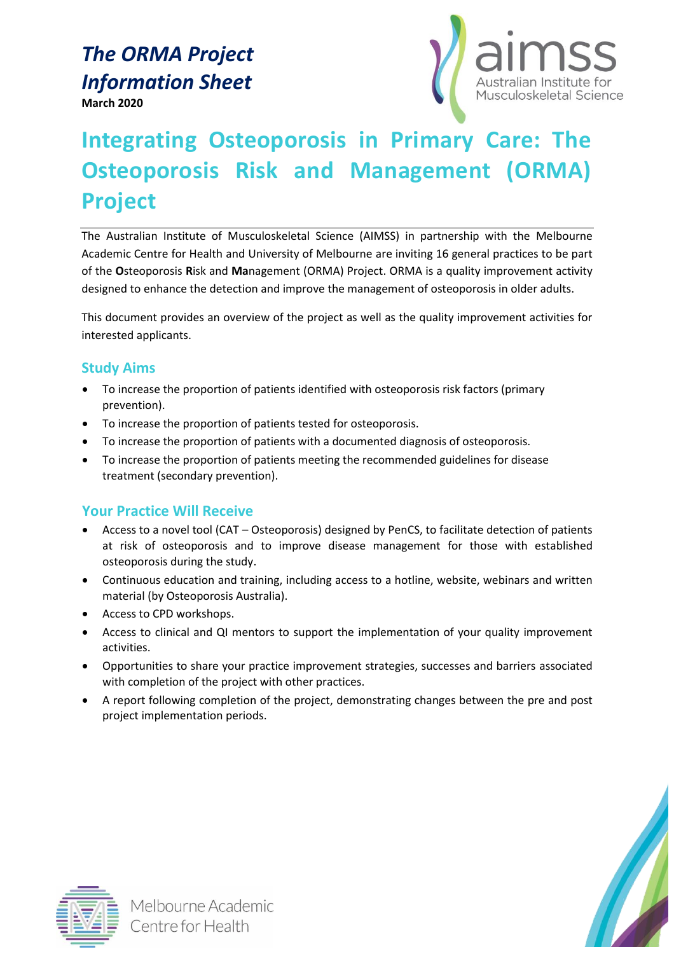# *The ORMA Project Information Sheet*

**March 2020**



# **Integrating Osteoporosis in Primary Care: The Osteoporosis Risk and Management (ORMA) Project**

The Australian Institute of Musculoskeletal Science (AIMSS) in partnership with the Melbourne Academic Centre for Health and University of Melbourne are inviting 16 general practices to be part of the **O**steoporosis **R**isk and **Ma**nagement (ORMA) Project. ORMA is a quality improvement activity designed to enhance the detection and improve the management of osteoporosis in older adults.

This document provides an overview of the project as well as the quality improvement activities for interested applicants.

# **Study Aims**

- To increase the proportion of patients identified with osteoporosis risk factors (primary prevention).
- To increase the proportion of patients tested for osteoporosis.
- To increase the proportion of patients with a documented diagnosis of osteoporosis.
- To increase the proportion of patients meeting the recommended guidelines for disease treatment (secondary prevention).

# **Your Practice Will Receive**

- Access to a novel tool (CAT Osteoporosis) designed by PenCS, to facilitate detection of patients at risk of osteoporosis and to improve disease management for those with established osteoporosis during the study.
- Continuous education and training, including access to a hotline, website, webinars and written material (by Osteoporosis Australia).
- Access to CPD workshops.
- Access to clinical and QI mentors to support the implementation of your quality improvement activities.
- Opportunities to share your practice improvement strategies, successes and barriers associated with completion of the project with other practices.
- A report following completion of the project, demonstrating changes between the pre and post project implementation periods.





Melbourne Academic Centre for Health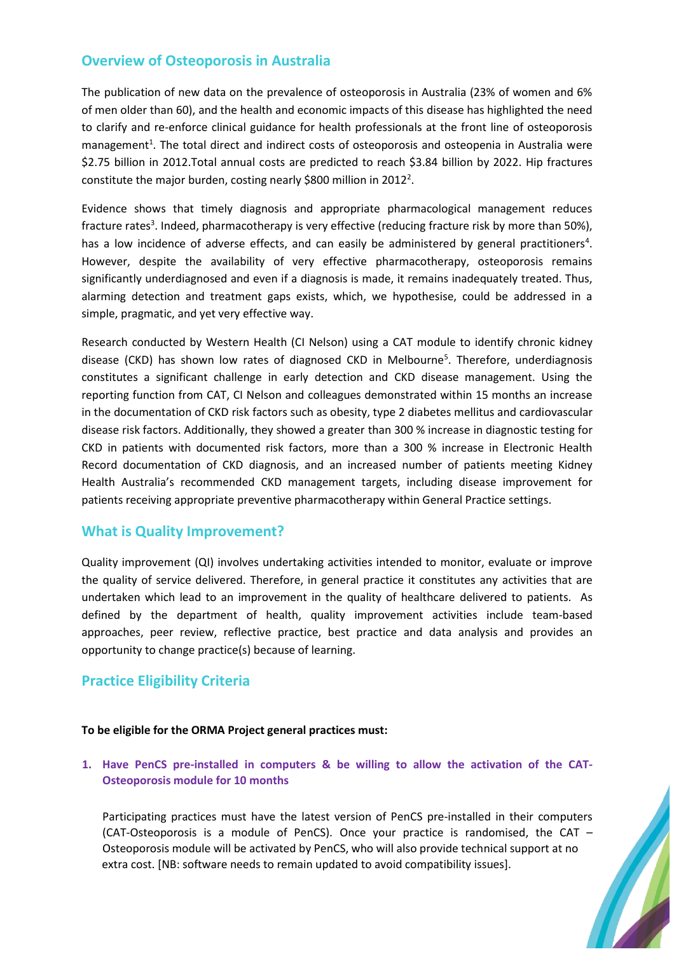## **Overview of Osteoporosis in Australia**

The publication of new data on the prevalence of osteoporosis in Australia (23% of women and 6% of men older than 60), and the health and economic impacts of this disease has highlighted the need to clarify and re-enforce clinical guidance for health professionals at the front line of osteoporosis management<sup>1</sup>. The total direct and indirect costs of osteoporosis and osteopenia in Australia were \$2.75 billion in 2012.Total annual costs are predicted to reach \$3.84 billion by 2022. Hip fractures constitute the major burden, costing nearly \$800 million in 2012<sup>2</sup>.

Evidence shows that timely diagnosis and appropriate pharmacological management reduces fracture rates<sup>3</sup>. Indeed, pharmacotherapy is very effective (reducing fracture risk by more than 50%), has a low incidence of adverse effects, and can easily be administered by general practitioners<sup>4</sup>. However, despite the availability of very effective pharmacotherapy, osteoporosis remains significantly underdiagnosed and even if a diagnosis is made, it remains inadequately treated. Thus, alarming detection and treatment gaps exists, which, we hypothesise, could be addressed in a simple, pragmatic, and yet very effective way.

Research conducted by Western Health (CI Nelson) using a CAT module to identify chronic kidney disease (CKD) has shown low rates of diagnosed CKD in Melbourne<sup>5</sup>. Therefore, underdiagnosis constitutes a significant challenge in early detection and CKD disease management. Using the reporting function from CAT, CI Nelson and colleagues demonstrated within 15 months an increase in the documentation of CKD risk factors such as obesity, type 2 diabetes mellitus and cardiovascular disease risk factors. Additionally, they showed a greater than 300 % increase in diagnostic testing for CKD in patients with documented risk factors, more than a 300 % increase in Electronic Health Record documentation of CKD diagnosis, and an increased number of patients meeting Kidney Health Australia's recommended CKD management targets, including disease improvement for patients receiving appropriate preventive pharmacotherapy within General Practice settings.

## **What is Quality Improvement?**

Quality improvement (QI) involves undertaking activities intended to monitor, evaluate or improve the quality of service delivered. Therefore, in general practice it constitutes any activities that are undertaken which lead to an improvement in the quality of healthcare delivered to patients. As defined by the department of health, quality improvement activities include team-based approaches, peer review, reflective practice, best practice and data analysis and provides an opportunity to change practice(s) because of learning.

# **Practice Eligibility Criteria**

#### **To be eligible for the ORMA Project general practices must:**

### **1. Have PenCS pre-installed in computers & be willing to allow the activation of the CAT-Osteoporosis module for 10 months**

Participating practices must have the latest version of PenCS pre-installed in their computers (CAT-Osteoporosis is a module of PenCS). Once your practice is randomised, the CAT – Osteoporosis module will be activated by PenCS, who will also provide technical support at no extra cost. [NB: software needs to remain updated to avoid compatibility issues].

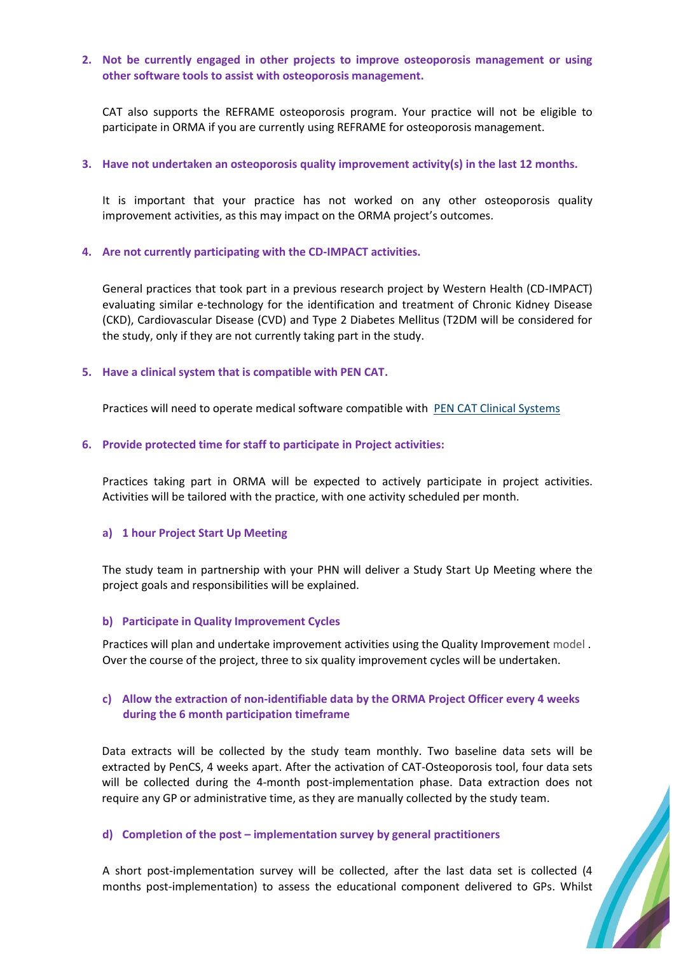#### **2. Not be currently engaged in other projects to improve osteoporosis management or using other software tools to assist with osteoporosis management.**

CAT also supports the REFRAME osteoporosis program. Your practice will not be eligible to participate in ORMA if you are currently using REFRAME for osteoporosis management.

#### **3. Have not undertaken an osteoporosis quality improvement activity(s) in the last 12 months.**

It is important that your practice has not worked on any other osteoporosis quality improvement activities, as this may impact on the ORMA project's outcomes.

#### **4. Are not currently participating with the CD-IMPACT activities.**

General practices that took part in a previous research project by Western Health (CD-IMPACT) evaluating similar e-technology for the identification and treatment of Chronic Kidney Disease (CKD), Cardiovascular Disease (CVD) and Type 2 Diabetes Mellitus (T2DM will be considered for the study, only if they are not currently taking part in the study.

#### **5. Have a clinical system that is compatible with PEN CAT.**

Practices will need to operate medical software compatible with [PEN CAT Clinical Systems](https://help.pencs.com.au/display/CG/Clinical+and+Billing+System+Compatibility)

#### **6. Provide protected time for staff to participate in Project activities:**

Practices taking part in ORMA will be expected to actively participate in project activities. Activities will be tailored with the practice, with one activity scheduled per month.

#### **a) 1 hour Project Start Up Meeting**

The study team in partnership with your PHN will deliver a Study Start Up Meeting where the project goals and responsibilities will be explained.

#### **b) Participate in Quality Improvement Cycles**

Practices will plan and undertake improvement activities using the Quality Improvement model . Over the course of the project, three to six quality improvement cycles will be undertaken.

#### **c) Allow the extraction of non-identifiable data by the ORMA Project Officer every 4 weeks during the 6 month participation timeframe**

Data extracts will be collected by the study team monthly. Two baseline data sets will be extracted by PenCS, 4 weeks apart. After the activation of CAT-Osteoporosis tool, four data sets will be collected during the 4-month post-implementation phase. Data extraction does not require any GP or administrative time, as they are manually collected by the study team.

#### **d) Completion of the post – implementation survey by general practitioners**

A short post-implementation survey will be collected, after the last data set is collected (4 months post-implementation) to assess the educational component delivered to GPs. Whilst **II**